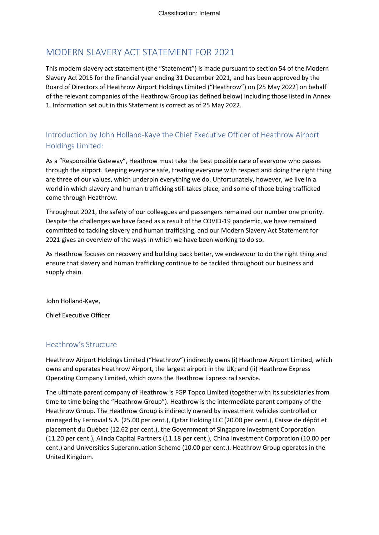# MODERN SLAVERY ACT STATEMENT FOR 2021

This modern slavery act statement (the "Statement") is made pursuant to section 54 of the Modern Slavery Act 2015 for the financial year ending 31 December 2021, and has been approved by the Board of Directors of Heathrow Airport Holdings Limited ("Heathrow") on [25 May 2022] on behalf of the relevant companies of the Heathrow Group (as defined below) including those listed in Annex 1. Information set out in this Statement is correct as of 25 May 2022.

## Introduction by John Holland-Kaye the Chief Executive Officer of Heathrow Airport Holdings Limited:

As a "Responsible Gateway", Heathrow must take the best possible care of everyone who passes through the airport. Keeping everyone safe, treating everyone with respect and doing the right thing are three of our values, which underpin everything we do. Unfortunately, however, we live in a world in which slavery and human trafficking still takes place, and some of those being trafficked come through Heathrow.

Throughout 2021, the safety of our colleagues and passengers remained our number one priority. Despite the challenges we have faced as a result of the COVID-19 pandemic, we have remained committed to tackling slavery and human trafficking, and our Modern Slavery Act Statement for 2021 gives an overview of the ways in which we have been working to do so.

As Heathrow focuses on recovery and building back better, we endeavour to do the right thing and ensure that slavery and human trafficking continue to be tackled throughout our business and supply chain.

John Holland-Kaye,

Chief Executive Officer

#### Heathrow's Structure

Heathrow Airport Holdings Limited ("Heathrow") indirectly owns (i) Heathrow Airport Limited, which owns and operates Heathrow Airport, the largest airport in the UK; and (ii) Heathrow Express Operating Company Limited, which owns the Heathrow Express rail service.

The ultimate parent company of Heathrow is FGP Topco Limited (together with its subsidiaries from time to time being the "Heathrow Group"). Heathrow is the intermediate parent company of the Heathrow Group. The Heathrow Group is indirectly owned by investment vehicles controlled or managed by Ferrovial S.A. (25.00 per cent.), Qatar Holding LLC (20.00 per cent.), Caisse de dépôt et placement du Québec (12.62 per cent.), the Government of Singapore Investment Corporation (11.20 per cent.), Alinda Capital Partners (11.18 per cent.), China Investment Corporation (10.00 per cent.) and Universities Superannuation Scheme (10.00 per cent.). Heathrow Group operates in the United Kingdom.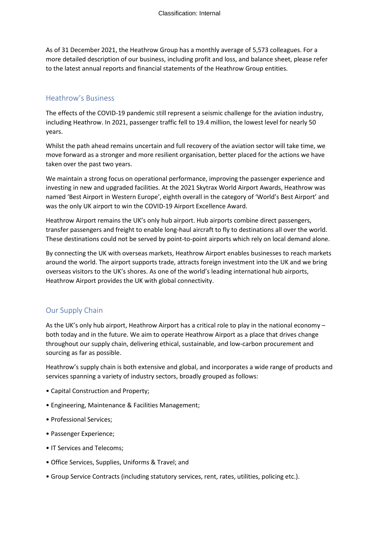As of 31 December 2021, the Heathrow Group has a monthly average of 5,573 colleagues. For a more detailed description of our business, including profit and loss, and balance sheet, please refer to the latest annual reports and financial statements of the Heathrow Group entities.

### Heathrow's Business

The effects of the COVID-19 pandemic still represent a seismic challenge for the aviation industry, including Heathrow. In 2021, passenger traffic fell to 19.4 million, the lowest level for nearly 50 years.

Whilst the path ahead remains uncertain and full recovery of the aviation sector will take time, we move forward as a stronger and more resilient organisation, better placed for the actions we have taken over the past two years.

We maintain a strong focus on operational performance, improving the passenger experience and investing in new and upgraded facilities. At the 2021 Skytrax World Airport Awards, Heathrow was named 'Best Airport in Western Europe', eighth overall in the category of 'World's Best Airport' and was the only UK airport to win the COVID-19 Airport Excellence Award.

Heathrow Airport remains the UK's only hub airport. Hub airports combine direct passengers, transfer passengers and freight to enable long-haul aircraft to fly to destinations all over the world. These destinations could not be served by point-to-point airports which rely on local demand alone.

By connecting the UK with overseas markets, Heathrow Airport enables businesses to reach markets around the world. The airport supports trade, attracts foreign investment into the UK and we bring overseas visitors to the UK's shores. As one of the world's leading international hub airports, Heathrow Airport provides the UK with global connectivity.

## Our Supply Chain

As the UK's only hub airport, Heathrow Airport has a critical role to play in the national economy – both today and in the future. We aim to operate Heathrow Airport as a place that drives change throughout our supply chain, delivering ethical, sustainable, and low-carbon procurement and sourcing as far as possible.

Heathrow's supply chain is both extensive and global, and incorporates a wide range of products and services spanning a variety of industry sectors, broadly grouped as follows:

- Capital Construction and Property;
- Engineering, Maintenance & Facilities Management;
- Professional Services;
- Passenger Experience;
- IT Services and Telecoms;
- Office Services, Supplies, Uniforms & Travel; and
- Group Service Contracts (including statutory services, rent, rates, utilities, policing etc.).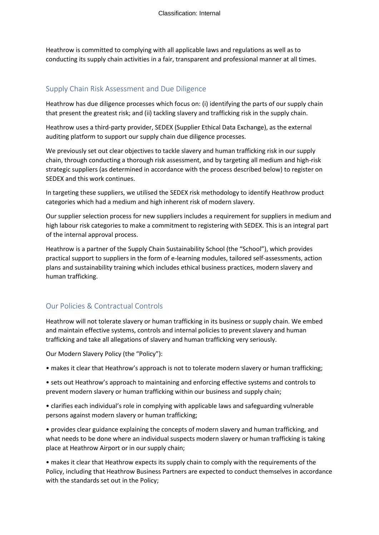Heathrow is committed to complying with all applicable laws and regulations as well as to conducting its supply chain activities in a fair, transparent and professional manner at all times.

### Supply Chain Risk Assessment and Due Diligence

Heathrow has due diligence processes which focus on: (i) identifying the parts of our supply chain that present the greatest risk; and (ii) tackling slavery and trafficking risk in the supply chain. 

Heathrow uses a third-party provider, SEDEX (Supplier Ethical Data Exchange), as the external auditing platform to support our supply chain due diligence processes. 

We previously set out clear objectives to tackle slavery and human trafficking risk in our supply chain, through conducting a thorough risk assessment, and by targeting all medium and high-risk strategic suppliers (as determined in accordance with the process described below) to register on SEDEX and this work continues.

In targeting these suppliers, we utilised the SEDEX risk methodology to identify Heathrow product categories which had a medium and high inherent risk of modern slavery. 

Our supplier selection process for new suppliers includes a requirement for suppliers in medium and high labour risk categories to make a commitment to registering with SEDEX. This is an integral part of the internal approval process. 

Heathrow is a partner of the Supply Chain Sustainability School (the "School"), which provides practical support to suppliers in the form of e-learning modules, tailored self-assessments, action plans and sustainability training which includes ethical business practices, modern slavery and human trafficking.

## Our Policies & Contractual Controls

Heathrow will not tolerate slavery or human trafficking in its business or supply chain. We embed and maintain effective systems, controls and internal policies to prevent slavery and human trafficking and take all allegations of slavery and human trafficking very seriously.

Our Modern Slavery Policy (the "Policy"):

• makes it clear that Heathrow's approach is not to tolerate modern slavery or human trafficking;

• sets out Heathrow's approach to maintaining and enforcing effective systems and controls to prevent modern slavery or human trafficking within our business and supply chain;

• clarifies each individual's role in complying with applicable laws and safeguarding vulnerable persons against modern slavery or human trafficking;

• provides clear guidance explaining the concepts of modern slavery and human trafficking, and what needs to be done where an individual suspects modern slavery or human trafficking is taking place at Heathrow Airport or in our supply chain;

• makes it clear that Heathrow expects its supply chain to comply with the requirements of the Policy, including that Heathrow Business Partners are expected to conduct themselves in accordance with the standards set out in the Policy;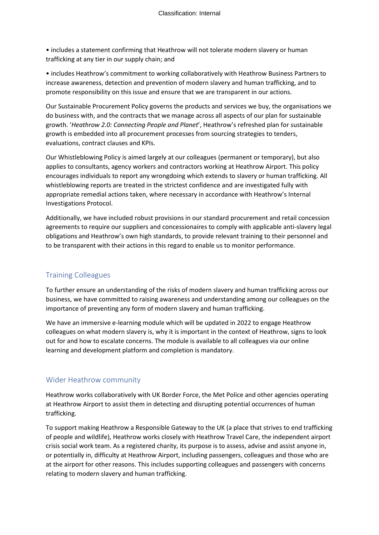• includes a statement confirming that Heathrow will not tolerate modern slavery or human trafficking at any tier in our supply chain; and

• includes Heathrow's commitment to working collaboratively with Heathrow Business Partners to increase awareness, detection and prevention of modern slavery and human trafficking, and to promote responsibility on this issue and ensure that we are transparent in our actions.

Our Sustainable Procurement Policy governs the products and services we buy, the organisations we do business with, and the contracts that we manage across all aspects of our plan for sustainable growth. '*Heathrow 2.0: Connecting People and Planet*', Heathrow's refreshed plan for sustainable growth is embedded into all procurement processes from sourcing strategies to tenders, evaluations, contract clauses and KPIs.

Our Whistleblowing Policy is aimed largely at our colleagues (permanent or temporary), but also applies to consultants, agency workers and contractors working at Heathrow Airport. This policy encourages individuals to report any wrongdoing which extends to slavery or human trafficking. All whistleblowing reports are treated in the strictest confidence and are investigated fully with appropriate remedial actions taken, where necessary in accordance with Heathrow's Internal Investigations Protocol.

Additionally, we have included robust provisions in our standard procurement and retail concession agreements to require our suppliers and concessionaires to comply with applicable anti-slavery legal obligations and Heathrow's own high standards, to provide relevant training to their personnel and to be transparent with their actions in this regard to enable us to monitor performance.

## Training Colleagues

To further ensure an understanding of the risks of modern slavery and human trafficking across our business, we have committed to raising awareness and understanding among our colleagues on the importance of preventing any form of modern slavery and human trafficking.

We have an immersive e-learning module which will be updated in 2022 to engage Heathrow colleagues on what modern slavery is, why it is important in the context of Heathrow, signs to look out for and how to escalate concerns. The module is available to all colleagues via our online learning and development platform and completion is mandatory.

## Wider Heathrow community

Heathrow works collaboratively with UK Border Force, the Met Police and other agencies operating at Heathrow Airport to assist them in detecting and disrupting potential occurrences of human trafficking.

To support making Heathrow a Responsible Gateway to the UK (a place that strives to end trafficking of people and wildlife), Heathrow works closely with Heathrow Travel Care, the independent airport crisis social work team. As a registered charity, its purpose is to assess, advise and assist anyone in, or potentially in, difficulty at Heathrow Airport, including passengers, colleagues and those who are at the airport for other reasons. This includes supporting colleagues and passengers with concerns relating to modern slavery and human trafficking.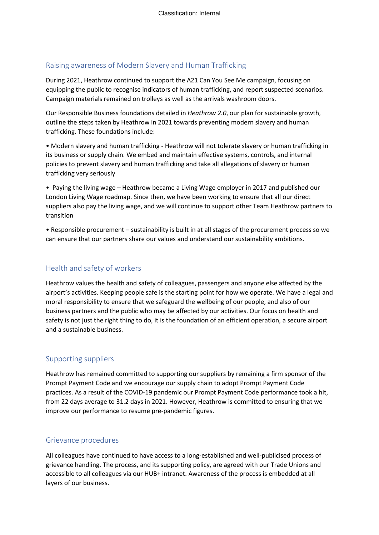### Raising awareness of Modern Slavery and Human Trafficking

During 2021, Heathrow continued to support the A21 Can You See Me campaign, focusing on equipping the public to recognise indicators of human trafficking, and report suspected scenarios. Campaign materials remained on trolleys as well as the arrivals washroom doors.

Our Responsible Business foundations detailed in *Heathrow 2.0*, our plan for sustainable growth, outline the steps taken by Heathrow in 2021 towards preventing modern slavery and human trafficking. These foundations include:

• Modern slavery and human trafficking - Heathrow will not tolerate slavery or human trafficking in its business or supply chain. We embed and maintain effective systems, controls, and internal policies to prevent slavery and human trafficking and take all allegations of slavery or human trafficking very seriously

• Paying the living wage – Heathrow became a Living Wage employer in 2017 and published our London Living Wage roadmap. Since then, we have been working to ensure that all our direct suppliers also pay the living wage, and we will continue to support other Team Heathrow partners to transition

• Responsible procurement – sustainability is built in at all stages of the procurement process so we can ensure that our partners share our values and understand our sustainability ambitions.

#### Health and safety of workers

Heathrow values the health and safety of colleagues, passengers and anyone else affected by the airport's activities. Keeping people safe is the starting point for how we operate. We have a legal and moral responsibility to ensure that we safeguard the wellbeing of our people, and also of our business partners and the public who may be affected by our activities. Our focus on health and safety is not just the right thing to do, it is the foundation of an efficient operation, a secure airport and a sustainable business.

### Supporting suppliers

Heathrow has remained committed to supporting our suppliers by remaining a firm sponsor of the Prompt Payment Code and we encourage our supply chain to adopt Prompt Payment Code practices. As a result of the COVID-19 pandemic our Prompt Payment Code performance took a hit, from 22 days average to 31.2 days in 2021. However, Heathrow is committed to ensuring that we improve our performance to resume pre-pandemic figures.

### Grievance procedures

All colleagues have continued to have access to a long-established and well-publicised process of grievance handling. The process, and its supporting policy, are agreed with our Trade Unions and accessible to all colleagues via our HUB+ intranet. Awareness of the process is embedded at all layers of our business.